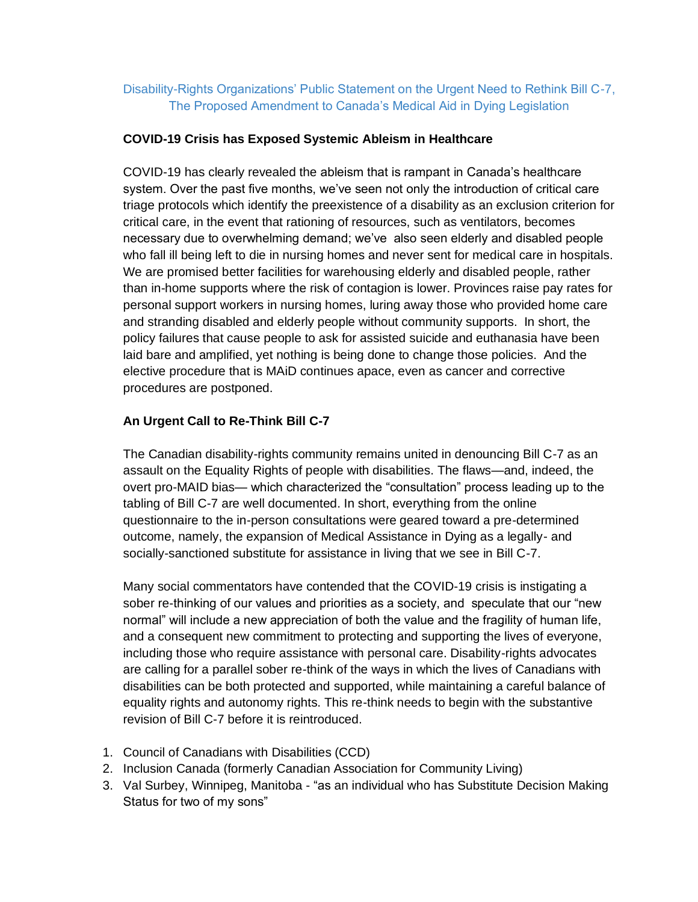## Disability-Rights Organizations' Public Statement on the Urgent Need to Rethink Bill C-7, The Proposed Amendment to Canada's Medical Aid in Dying Legislation

## **COVID-19 Crisis has Exposed Systemic Ableism in Healthcare**

COVID-19 has clearly revealed the ableism that is rampant in Canada's healthcare system. Over the past five months, we've seen not only the introduction of critical care triage protocols which identify the preexistence of a disability as an exclusion criterion for critical care, in the event that rationing of resources, such as ventilators, becomes necessary due to overwhelming demand; we've also seen elderly and disabled people who fall ill being left to die in nursing homes and never sent for medical care in hospitals. We are promised better facilities for warehousing elderly and disabled people, rather than in-home supports where the risk of contagion is lower. Provinces raise pay rates for personal support workers in nursing homes, luring away those who provided home care and stranding disabled and elderly people without community supports. In short, the policy failures that cause people to ask for assisted suicide and euthanasia have been laid bare and amplified, yet nothing is being done to change those policies. And the elective procedure that is MAiD continues apace, even as cancer and corrective procedures are postponed.

## **An Urgent Call to Re-Think Bill C-7**

The Canadian disability-rights community remains united in denouncing Bill C-7 as an assault on the Equality Rights of people with disabilities. The flaws—and, indeed, the overt pro-MAID bias— which characterized the "consultation" process leading up to the tabling of Bill C-7 are well documented. In short, everything from the online questionnaire to the in-person consultations were geared toward a pre-determined outcome, namely, the expansion of Medical Assistance in Dying as a legally- and socially-sanctioned substitute for assistance in living that we see in Bill C-7.

Many social commentators have contended that the COVID-19 crisis is instigating a sober re-thinking of our values and priorities as a society, and speculate that our "new normal" will include a new appreciation of both the value and the fragility of human life, and a consequent new commitment to protecting and supporting the lives of everyone, including those who require assistance with personal care. Disability-rights advocates are calling for a parallel sober re-think of the ways in which the lives of Canadians with disabilities can be both protected and supported, while maintaining a careful balance of equality rights and autonomy rights. This re-think needs to begin with the substantive revision of Bill C-7 before it is reintroduced.

- 1. Council of Canadians with Disabilities (CCD)
- 2. Inclusion Canada (formerly Canadian Association for Community Living)
- 3. Val Surbey, Winnipeg, Manitoba "as an individual who has Substitute Decision Making Status for two of my sons"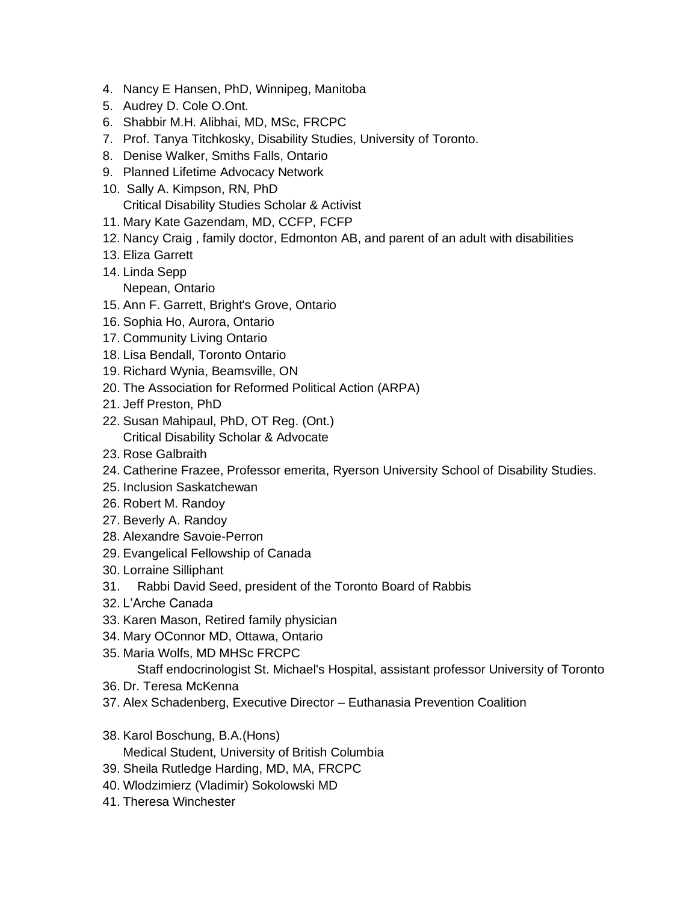- 4. Nancy E Hansen, PhD, Winnipeg, Manitoba
- 5. Audrey D. Cole O.Ont.
- 6. Shabbir M.H. Alibhai, MD, MSc, FRCPC
- 7. Prof. Tanya Titchkosky, Disability Studies, University of Toronto.
- 8. Denise Walker, Smiths Falls, Ontario
- 9. Planned Lifetime Advocacy Network
- 10. Sally A. Kimpson, RN, PhD Critical Disability Studies Scholar & Activist
- 11. Mary Kate Gazendam, MD, CCFP, FCFP
- 12. Nancy Craig , family doctor, Edmonton AB, and parent of an adult with disabilities
- 13. Eliza Garrett
- 14. Linda Sepp Nepean, Ontario
- 15. Ann F. Garrett, Bright's Grove, Ontario
- 16. Sophia Ho, Aurora, Ontario
- 17. Community Living Ontario
- 18. Lisa Bendall, Toronto Ontario
- 19. Richard Wynia, Beamsville, ON
- 20. The Association for Reformed Political Action (ARPA)
- 21. Jeff Preston, PhD
- 22. Susan Mahipaul, PhD, OT Reg. (Ont.) Critical Disability Scholar & Advocate
- 23. Rose Galbraith
- 24. Catherine Frazee, Professor emerita, Ryerson University School of Disability Studies.
- 25. Inclusion Saskatchewan
- 26. Robert M. Randoy
- 27. Beverly A. Randoy
- 28. Alexandre Savoie-Perron
- 29. Evangelical Fellowship of Canada
- 30. Lorraine Silliphant
- 31. Rabbi David Seed, president of the Toronto Board of Rabbis
- 32. L'Arche Canada
- 33. Karen Mason, Retired family physician
- 34. Mary OConnor MD, Ottawa, Ontario
- 35. Maria Wolfs, MD MHSc FRCPC

Staff endocrinologist St. Michael's Hospital, assistant professor University of Toronto

- 36. Dr. Teresa McKenna
- 37. Alex Schadenberg, Executive Director Euthanasia Prevention Coalition
- 38. Karol Boschung, B.A.(Hons) Medical Student, University of British Columbia
- 39. Sheila Rutledge Harding, MD, MA, FRCPC
- 40. Wlodzimierz (Vladimir) Sokolowski MD
- 41. Theresa Winchester